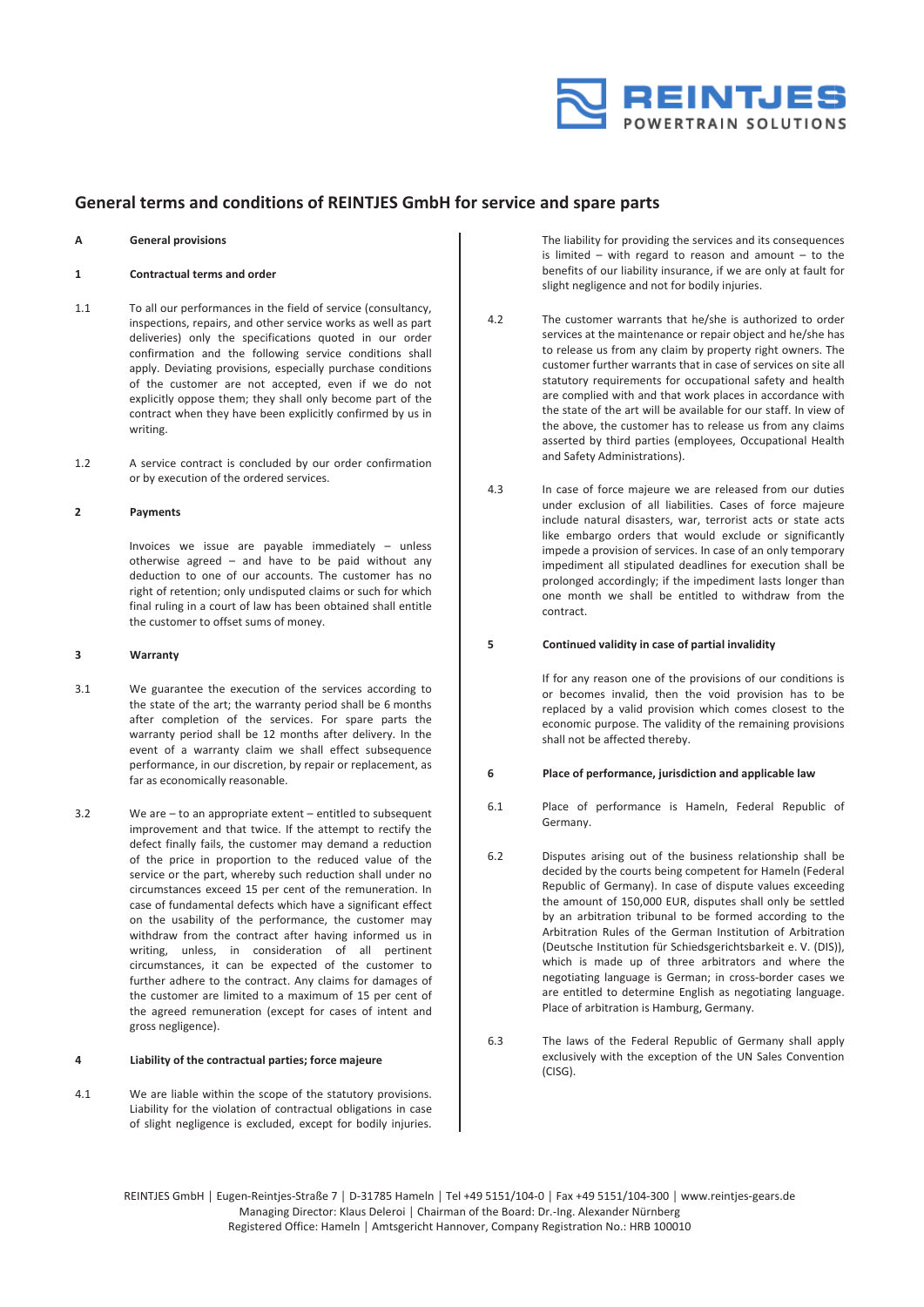

# **General terms and conditions of REINTJES GmbH for service and spare parts**

#### **A General provisions**

# **1 Contractual terms and order**

- 1.1 To all our performances in the field of service (consultancy, inspections, repairs, and other service works as well as part deliveries) only the specifications quoted in our order confirmation and the following service conditions shall apply. Deviating provisions, especially purchase conditions of the customer are not accepted, even if we do not explicitly oppose them; they shall only become part of the contract when they have been explicitly confirmed by us in writing.
- 1.2 A service contract is concluded by our order confirmation or by execution of the ordered services.

#### **2 Payments**

Invoices we issue are payable immediately – unless otherwise agreed – and have to be paid without any deduction to one of our accounts. The customer has no right of retention; only undisputed claims or such for which final ruling in a court of law has been obtained shall entitle the customer to offset sums of money.

#### **3 Warranty**

- 3.1 We guarantee the execution of the services according to the state of the art; the warranty period shall be 6 months after completion of the services. For spare parts the warranty period shall be 12 months after delivery. In the event of a warranty claim we shall effect subsequence performance, in our discretion, by repair or replacement, as far as economically reasonable.
- 3.2 We are to an appropriate extent entitled to subsequent improvement and that twice. If the attempt to rectify the defect finally fails, the customer may demand a reduction of the price in proportion to the reduced value of the service or the part, whereby such reduction shall under no circumstances exceed 15 per cent of the remuneration. In case of fundamental defects which have a significant effect on the usability of the performance, the customer may withdraw from the contract after having informed us in writing, unless, in consideration of all pertinent circumstances, it can be expected of the customer to further adhere to the contract. Any claims for damages of the customer are limited to a maximum of 15 per cent of the agreed remuneration (except for cases of intent and gross negligence).

# **4 Liability of the contractual parties; force majeure**

4.1 We are liable within the scope of the statutory provisions. Liability for the violation of contractual obligations in case of slight negligence is excluded, except for bodily injuries. The liability for providing the services and its consequences is limited – with regard to reason and amount – to the benefits of our liability insurance, if we are only at fault for slight negligence and not for bodily injuries.

- 4.2 The customer warrants that he/she is authorized to order services at the maintenance or repair object and he/she has to release us from any claim by property right owners. The customer further warrants that in case of services on site all statutory requirements for occupational safety and health are complied with and that work places in accordance with the state of the art will be available for our staff. In view of the above, the customer has to release us from any claims asserted by third parties (employees, Occupational Health and Safety Administrations).
- 4.3 In case of force majeure we are released from our duties under exclusion of all liabilities. Cases of force majeure include natural disasters, war, terrorist acts or state acts like embargo orders that would exclude or significantly impede a provision of services. In case of an only temporary impediment all stipulated deadlines for execution shall be prolonged accordingly; if the impediment lasts longer than one month we shall be entitled to withdraw from the contract.

#### **5 Continued validity in case of partial invalidity**

If for any reason one of the provisions of our conditions is or becomes invalid, then the void provision has to be replaced by a valid provision which comes closest to the economic purpose. The validity of the remaining provisions shall not be affected thereby.

# **6 Place of performance, jurisdiction and applicable law**

- 6.1 Place of performance is Hameln, Federal Republic of Germany.
- 6.2 Disputes arising out of the business relationship shall be decided by the courts being competent for Hameln (Federal Republic of Germany). In case of dispute values exceeding the amount of 150,000 EUR, disputes shall only be settled by an arbitration tribunal to be formed according to the Arbitration Rules of the German Institution of Arbitration (Deutsche Institution für Schiedsgerichtsbarkeit e. V. (DIS)), which is made up of three arbitrators and where the negotiating language is German; in cross‐border cases we are entitled to determine English as negotiating language. Place of arbitration is Hamburg, Germany.
- 6.3 The laws of the Federal Republic of Germany shall apply exclusively with the exception of the UN Sales Convention (CISG).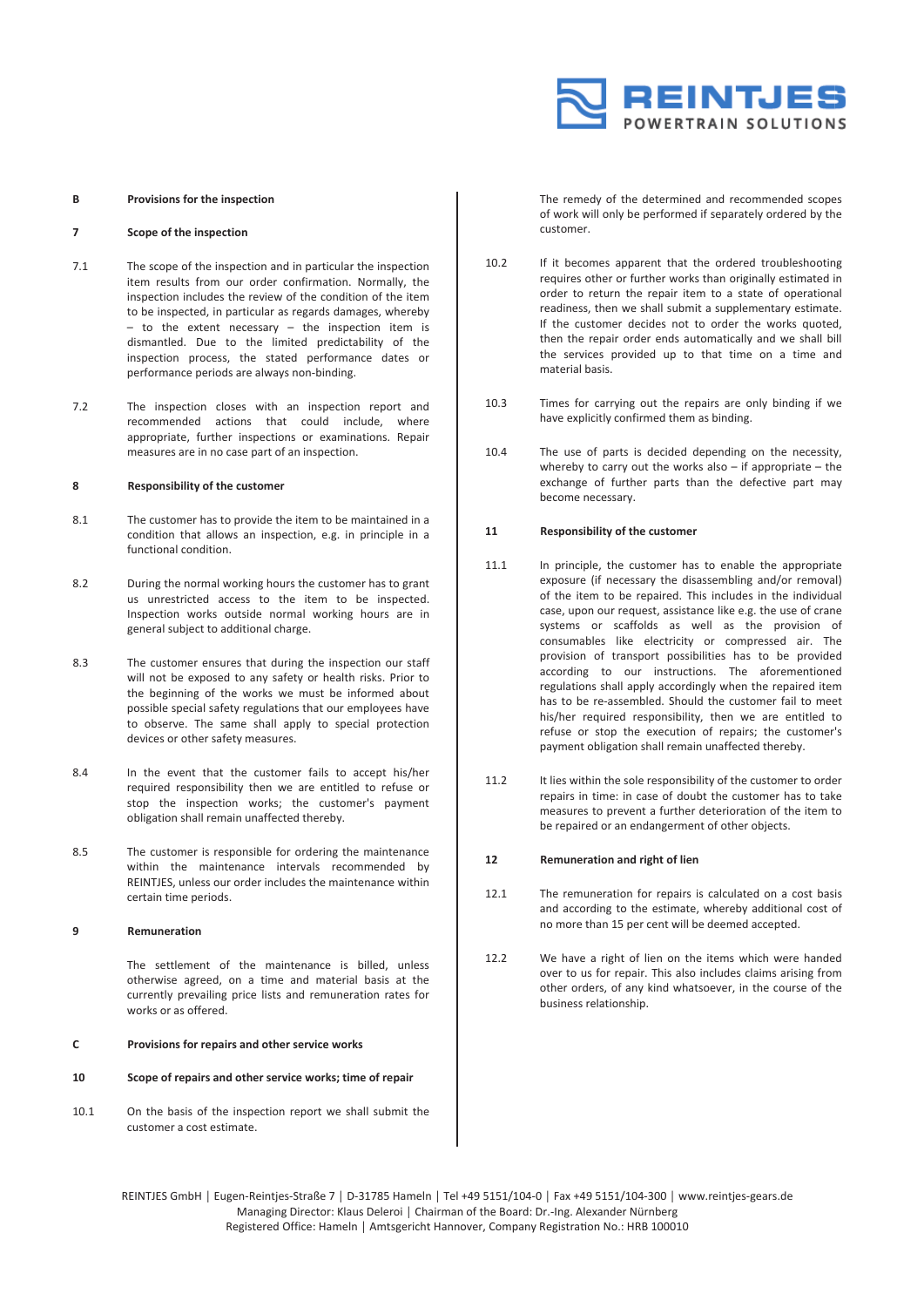

#### **B Provisions for the inspection**

# **7 Scope of the inspection**

- 7.1 The scope of the inspection and in particular the inspection item results from our order confirmation. Normally, the inspection includes the review of the condition of the item to be inspected, in particular as regards damages, whereby  $-$  to the extent necessary  $-$  the inspection item is dismantled. Due to the limited predictability of the inspection process, the stated performance dates or performance periods are always non‐binding.
- 7.2 The inspection closes with an inspection report and recommended actions that could include, where appropriate, further inspections or examinations. Repair measures are in no case part of an inspection.

#### **8 Responsibility of the customer**

- 8.1 The customer has to provide the item to be maintained in a condition that allows an inspection, e.g. in principle in a functional condition.
- 8.2 During the normal working hours the customer has to grant us unrestricted access to the item to be inspected. Inspection works outside normal working hours are in general subject to additional charge.
- 8.3 The customer ensures that during the inspection our staff will not be exposed to any safety or health risks. Prior to the beginning of the works we must be informed about possible special safety regulations that our employees have to observe. The same shall apply to special protection devices or other safety measures.
- 8.4 In the event that the customer fails to accept his/her required responsibility then we are entitled to refuse or stop the inspection works; the customer's payment obligation shall remain unaffected thereby.
- 8.5 The customer is responsible for ordering the maintenance within the maintenance intervals recommended by REINTJES, unless our order includes the maintenance within certain time periods.

#### **9 Remuneration**

The settlement of the maintenance is billed, unless otherwise agreed, on a time and material basis at the currently prevailing price lists and remuneration rates for works or as offered.

#### **C Provisions for repairs and other service works**

#### **10 Scope of repairs and other service works; time of repair**

10.1 On the basis of the inspection report we shall submit the customer a cost estimate.

The remedy of the determined and recommended scopes of work will only be performed if separately ordered by the customer.

- 10.2 If it becomes apparent that the ordered troubleshooting requires other or further works than originally estimated in order to return the repair item to a state of operational readiness, then we shall submit a supplementary estimate. If the customer decides not to order the works quoted, then the repair order ends automatically and we shall bill the services provided up to that time on a time and material basis.
- 10.3 Times for carrying out the repairs are only binding if we have explicitly confirmed them as binding.
- 10.4 The use of parts is decided depending on the necessity, whereby to carry out the works also – if appropriate – the exchange of further parts than the defective part may become necessary.

#### **11 Responsibility of the customer**

- 11.1 In principle, the customer has to enable the appropriate exposure (if necessary the disassembling and/or removal) of the item to be repaired. This includes in the individual case, upon our request, assistance like e.g. the use of crane systems or scaffolds as well as the provision of consumables like electricity or compressed air. The provision of transport possibilities has to be provided according to our instructions. The aforementioned regulations shall apply accordingly when the repaired item has to be re‐assembled. Should the customer fail to meet his/her required responsibility, then we are entitled to refuse or stop the execution of repairs; the customer's payment obligation shall remain unaffected thereby.
- 11.2 It lies within the sole responsibility of the customer to order repairs in time: in case of doubt the customer has to take measures to prevent a further deterioration of the item to be repaired or an endangerment of other objects.

# **12 Remuneration and right of lien**

- 12.1 The remuneration for repairs is calculated on a cost basis and according to the estimate, whereby additional cost of no more than 15 per cent will be deemed accepted.
- 12.2 We have a right of lien on the items which were handed over to us for repair. This also includes claims arising from other orders, of any kind whatsoever, in the course of the business relationship.